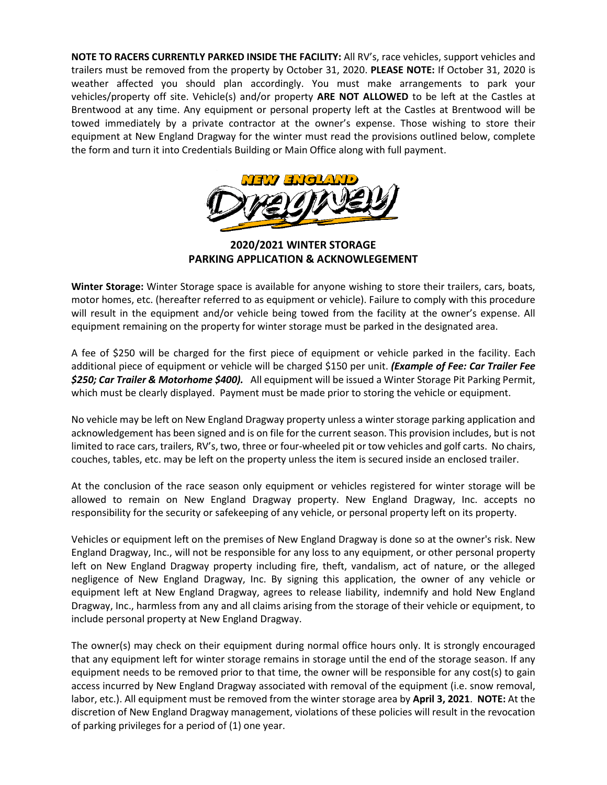**NOTE TO RACERS CURRENTLY PARKED INSIDE THE FACILITY:** All RV's, race vehicles, support vehicles and trailers must be removed from the property by October 31, 2020. **PLEASE NOTE:** If October 31, 2020 is weather affected you should plan accordingly. You must make arrangements to park your vehicles/property off site. Vehicle(s) and/or property **ARE NOT ALLOWED** to be left at the Castles at Brentwood at any time. Any equipment or personal property left at the Castles at Brentwood will be towed immediately by a private contractor at the owner's expense. Those wishing to store their equipment at New England Dragway for the winter must read the provisions outlined below, complete the form and turn it into Credentials Building or Main Office along with full payment.



**2020/2021 WINTER STORAGE PARKING APPLICATION & ACKNOWLEGEMENT**

**Winter Storage:** Winter Storage space is available for anyone wishing to store their trailers, cars, boats, motor homes, etc. (hereafter referred to as equipment or vehicle). Failure to comply with this procedure will result in the equipment and/or vehicle being towed from the facility at the owner's expense. All equipment remaining on the property for winter storage must be parked in the designated area.

A fee of \$250 will be charged for the first piece of equipment or vehicle parked in the facility. Each additional piece of equipment or vehicle will be charged \$150 per unit. *(Example of Fee: Car Trailer Fee \$250; Car Trailer & Motorhome \$400).* All equipment will be issued a Winter Storage Pit Parking Permit, which must be clearly displayed. Payment must be made prior to storing the vehicle or equipment.

No vehicle may be left on New England Dragway property unless a winter storage parking application and acknowledgement has been signed and is on file for the current season. This provision includes, but is not limited to race cars, trailers, RV's, two, three or four-wheeled pit or tow vehicles and golf carts. No chairs, couches, tables, etc. may be left on the property unless the item is secured inside an enclosed trailer.

At the conclusion of the race season only equipment or vehicles registered for winter storage will be allowed to remain on New England Dragway property. New England Dragway, Inc. accepts no responsibility for the security or safekeeping of any vehicle, or personal property left on its property.

Vehicles or equipment left on the premises of New England Dragway is done so at the owner's risk. New England Dragway, Inc., will not be responsible for any loss to any equipment, or other personal property left on New England Dragway property including fire, theft, vandalism, act of nature, or the alleged negligence of New England Dragway, Inc. By signing this application, the owner of any vehicle or equipment left at New England Dragway, agrees to release liability, indemnify and hold New England Dragway, Inc., harmless from any and all claims arising from the storage of their vehicle or equipment, to include personal property at New England Dragway.

The owner(s) may check on their equipment during normal office hours only. It is strongly encouraged that any equipment left for winter storage remains in storage until the end of the storage season. If any equipment needs to be removed prior to that time, the owner will be responsible for any cost(s) to gain access incurred by New England Dragway associated with removal of the equipment (i.e. snow removal, labor, etc.). All equipment must be removed from the winter storage area by **April 3, 2021**. **NOTE:** At the discretion of New England Dragway management, violations of these policies will result in the revocation of parking privileges for a period of (1) one year.